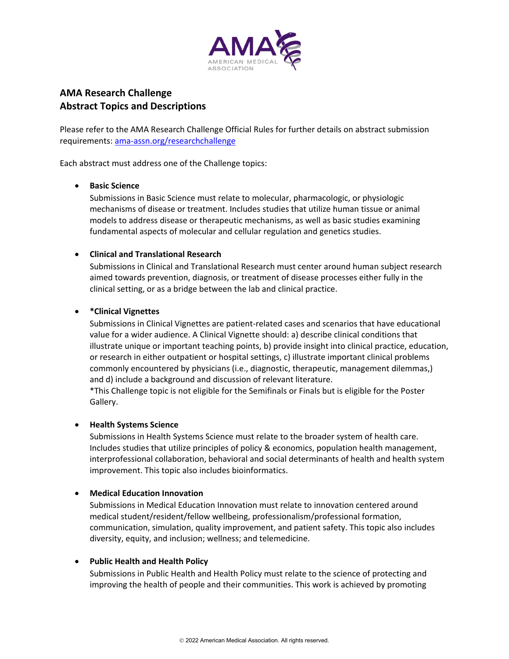

# **AMA Research Challenge Abstract Topics and Descriptions**

Please refer to the AMA Research Challenge Official Rules for further details on abstract submission requirements: [ama-assn.org/researchchallenge](https://ama-assn.org/researchchallenge)

Each abstract must address one of the Challenge topics:

### • **Basic Science**

Submissions in Basic Science must relate to molecular, pharmacologic, or physiologic mechanisms of disease or treatment. Includes studies that utilize human tissue or animal models to address disease or therapeutic mechanisms, as well as basic studies examining fundamental aspects of molecular and cellular regulation and genetics studies.

## • **Clinical and Translational Research**

Submissions in Clinical and Translational Research must center around human subject research aimed towards prevention, diagnosis, or treatment of disease processes either fully in the clinical setting, or as a bridge between the lab and clinical practice.

## • **\*Clinical Vignettes**

Submissions in Clinical Vignettes are patient-related cases and scenarios that have educational value for a wider audience. A Clinical Vignette should: a) describe clinical conditions that illustrate unique or important teaching points, b) provide insight into clinical practice, education, or research in either outpatient or hospital settings, c) illustrate important clinical problems commonly encountered by physicians (i.e., diagnostic, therapeutic, management dilemmas,) and d) include a background and discussion of relevant literature.

\*This Challenge topic is not eligible for the Semifinals or Finals but is eligible for the Poster Gallery.

## • **Health Systems Science**

Submissions in Health Systems Science must relate to the broader system of health care. Includes studies that utilize principles of policy & economics, population health management, interprofessional collaboration, behavioral and social determinants of health and health system improvement. This topic also includes bioinformatics.

## • **Medical Education Innovation**

Submissions in Medical Education Innovation must relate to innovation centered around medical student/resident/fellow wellbeing, professionalism/professional formation, communication, simulation, quality improvement, and patient safety. This topic also includes diversity, equity, and inclusion; wellness; and telemedicine.

## • **Public Health and Health Policy**

Submissions in Public Health and Health Policy must relate to the science of protecting and improving the health of people and their communities. This work is achieved by promoting